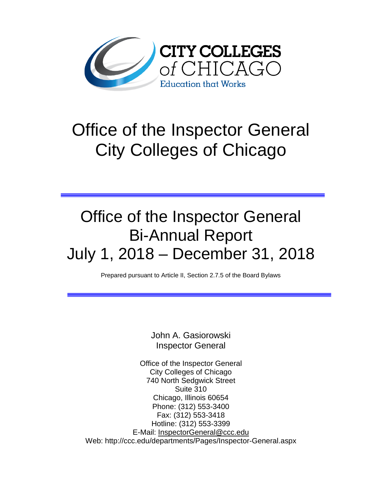

# Office of the Inspector General City Colleges of Chicago

## Office of the Inspector General Bi-Annual Report July 1, 2018 – December 31, 2018

Prepared pursuant to Article II, Section 2.7.5 of the Board Bylaws

John A. Gasiorowski Inspector General

Office of the Inspector General City Colleges of Chicago 740 North Sedgwick Street Suite 310 Chicago, Illinois 60654 Phone: (312) 553-3400 Fax: (312) 553-3418 Hotline: (312) 553-3399 E-Mail: [InspectorGeneral@ccc.edu](mailto:InspectorGeneral@ccc.edu) Web: http://ccc.edu/departments/Pages/Inspector-General.aspx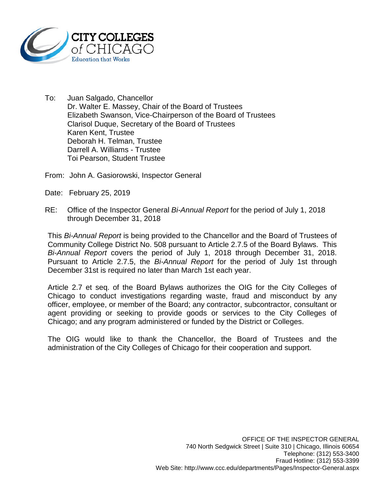

- To: Juan Salgado, Chancellor Dr. Walter E. Massey, Chair of the Board of Trustees Elizabeth Swanson, Vice-Chairperson of the Board of Trustees Clarisol Duque, Secretary of the Board of Trustees Karen Kent, Trustee Deborah H. Telman, Trustee Darrell A. Williams - Trustee Toi Pearson, Student Trustee
- From: John A. Gasiorowski, Inspector General
- Date: February 25, 2019
- RE: Office of the Inspector General *Bi-Annual Report* for the period of July 1, 2018 through December 31, 2018

This *Bi-Annual Report* is being provided to the Chancellor and the Board of Trustees of Community College District No. 508 pursuant to Article 2.7.5 of the Board Bylaws. This *Bi-Annual Report* covers the period of July 1, 2018 through December 31, 2018. Pursuant to Article 2.7.5, the *Bi-Annual Report* for the period of July 1st through December 31st is required no later than March 1st each year.

Article 2.7 et seq. of the Board Bylaws authorizes the OIG for the City Colleges of Chicago to conduct investigations regarding waste, fraud and misconduct by any officer, employee, or member of the Board; any contractor, subcontractor, consultant or agent providing or seeking to provide goods or services to the City Colleges of Chicago; and any program administered or funded by the District or Colleges.

The OIG would like to thank the Chancellor, the Board of Trustees and the administration of the City Colleges of Chicago for their cooperation and support.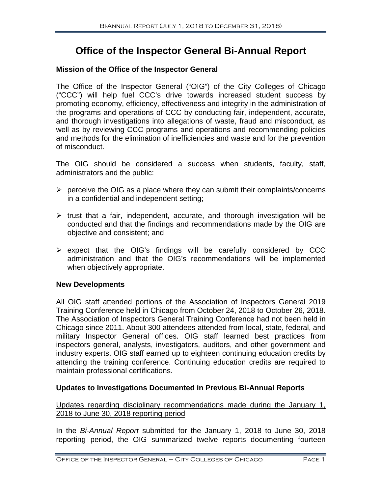### **Office of the Inspector General Bi-Annual Report**

#### **Mission of the Office of the Inspector General**

The Office of the Inspector General ("OIG") of the City Colleges of Chicago ("CCC") will help fuel CCC's drive towards increased student success by promoting economy, efficiency, effectiveness and integrity in the administration of the programs and operations of CCC by conducting fair, independent, accurate, and thorough investigations into allegations of waste, fraud and misconduct, as well as by reviewing CCC programs and operations and recommending policies and methods for the elimination of inefficiencies and waste and for the prevention of misconduct.

The OIG should be considered a success when students, faculty, staff, administrators and the public:

- $\triangleright$  perceive the OIG as a place where they can submit their complaints/concerns in a confidential and independent setting;
- $\triangleright$  trust that a fair, independent, accurate, and thorough investigation will be conducted and that the findings and recommendations made by the OIG are objective and consistent; and
- $\triangleright$  expect that the OIG's findings will be carefully considered by CCC administration and that the OIG's recommendations will be implemented when objectively appropriate.

#### **New Developments**

All OIG staff attended portions of the Association of Inspectors General 2019 Training Conference held in Chicago from October 24, 2018 to October 26, 2018. The Association of Inspectors General Training Conference had not been held in Chicago since 2011. About 300 attendees attended from local, state, federal, and military Inspector General offices. OIG staff learned best practices from inspectors general, analysts, investigators, auditors, and other government and industry experts. OIG staff earned up to eighteen continuing education credits by attending the training conference. Continuing education credits are required to maintain professional certifications.

#### **Updates to Investigations Documented in Previous Bi-Annual Reports**

Updates regarding disciplinary recommendations made during the January 1, 2018 to June 30, 2018 reporting period

In the *Bi-Annual Report* submitted for the January 1, 2018 to June 30, 2018 reporting period, the OIG summarized twelve reports documenting fourteen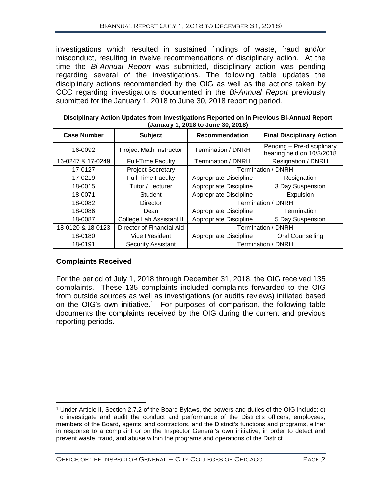investigations which resulted in sustained findings of waste, fraud and/or misconduct, resulting in twelve recommendations of disciplinary action. At the time the *Bi-Annual Report* was submitted, disciplinary action was pending regarding several of the investigations. The following table updates the disciplinary actions recommended by the OIG as well as the actions taken by CCC regarding investigations documented in the *Bi-Annual Report* previously submitted for the January 1, 2018 to June 30, 2018 reporting period.

| Disciplinary Action Updates from Investigations Reported on in Previous Bi-Annual Report<br>(January 1, 2018 to June 30, 2018) |                           |                        |                                                         |  |  |  |  |
|--------------------------------------------------------------------------------------------------------------------------------|---------------------------|------------------------|---------------------------------------------------------|--|--|--|--|
| <b>Case Number</b>                                                                                                             | <b>Subject</b>            | Recommendation         | <b>Final Disciplinary Action</b>                        |  |  |  |  |
| 16-0092                                                                                                                        | Project Math Instructor   | Termination / DNRH     | Pending - Pre-disciplinary<br>hearing held on 10/3/2018 |  |  |  |  |
| 16-0247 & 17-0249                                                                                                              | <b>Full-Time Faculty</b>  | Termination / DNRH     | Resignation / DNRH                                      |  |  |  |  |
| 17-0127                                                                                                                        | <b>Project Secretary</b>  | Termination / DNRH     |                                                         |  |  |  |  |
| 17-0219                                                                                                                        | <b>Full-Time Faculty</b>  | Appropriate Discipline | Resignation                                             |  |  |  |  |
| 18-0015                                                                                                                        | Tutor / Lecturer          | Appropriate Discipline | 3 Day Suspension                                        |  |  |  |  |
| 18-0071                                                                                                                        | Student                   | Appropriate Discipline | Expulsion                                               |  |  |  |  |
| 18-0082                                                                                                                        | Director                  | Termination / DNRH     |                                                         |  |  |  |  |
| 18-0086                                                                                                                        | Dean                      | Appropriate Discipline | Termination                                             |  |  |  |  |
| 18-0087                                                                                                                        | College Lab Assistant II  | Appropriate Discipline | 5 Day Suspension                                        |  |  |  |  |
| 18-0120 & 18-0123                                                                                                              | Director of Financial Aid | Termination / DNRH     |                                                         |  |  |  |  |
| 18-0180                                                                                                                        | <b>Vice President</b>     | Appropriate Discipline | Oral Counselling                                        |  |  |  |  |
| 18-0191                                                                                                                        | <b>Security Assistant</b> | Termination / DNRH     |                                                         |  |  |  |  |

#### **Complaints Received**

For the period of July 1, 2018 through December 31, 2018, the OIG received 135 complaints. These 135 complaints included complaints forwarded to the OIG from outside sources as well as investigations (or audits reviews) initiated based on the OIG's own initiative. [1](#page-3-0) For purposes of comparison, the following table documents the complaints received by the OIG during the current and previous reporting periods.

<span id="page-3-0"></span> $\overline{a}$ <sup>1</sup> Under Article II, Section 2.7.2 of the Board Bylaws, the powers and duties of the OIG include: c) To investigate and audit the conduct and performance of the District's officers, employees, members of the Board, agents, and contractors, and the District's functions and programs, either in response to a complaint or on the Inspector General's own initiative, in order to detect and prevent waste, fraud, and abuse within the programs and operations of the District….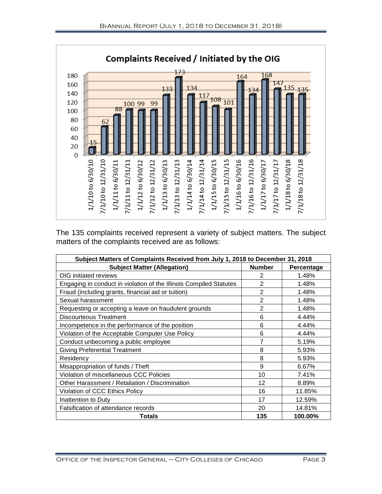

The 135 complaints received represent a variety of subject matters. The subject matters of the complaints received are as follows:

| Subject Matters of Complaints Received from July 1, 2018 to December 31, 2018 |                |            |  |  |  |
|-------------------------------------------------------------------------------|----------------|------------|--|--|--|
| <b>Subject Matter (Allegation)</b>                                            | <b>Number</b>  | Percentage |  |  |  |
| OIG initiated reviews                                                         | 2              | 1.48%      |  |  |  |
| Engaging in conduct in violation of the Illinois Compiled Statutes            | $\overline{2}$ | 1.48%      |  |  |  |
| Fraud (including grants, financial aid or tuition)                            | $\overline{2}$ | 1.48%      |  |  |  |
| Sexual harassment                                                             | $\overline{2}$ | 1.48%      |  |  |  |
| Requesting or accepting a leave on fraudulent grounds                         | $\overline{2}$ | 1.48%      |  |  |  |
| <b>Discourteous Treatment</b>                                                 | 6              | 4.44%      |  |  |  |
| Incompetence in the performance of the position                               | 6              | 4.44%      |  |  |  |
| Violation of the Acceptable Computer Use Policy                               | 6              | 4.44%      |  |  |  |
| Conduct unbecoming a public employee                                          | 7              | 5.19%      |  |  |  |
| <b>Giving Preferential Treatment</b>                                          | 8              | 5.93%      |  |  |  |
| Residency                                                                     | 8              | 5.93%      |  |  |  |
| Misappropriation of funds / Theft                                             | 9              | 6.67%      |  |  |  |
| Violation of miscellaneous CCC Policies                                       | 10             | 7.41%      |  |  |  |
| Other Harassment / Retaliation / Discrimination                               | 12             | 8.89%      |  |  |  |
| Violation of CCC Ethics Policy                                                | 16             | 11.85%     |  |  |  |
| Inattention to Duty                                                           | 17             | 12.59%     |  |  |  |
| Falsification of attendance records                                           | 20             | 14.81%     |  |  |  |
| <b>Totals</b>                                                                 | 135            | 100.00%    |  |  |  |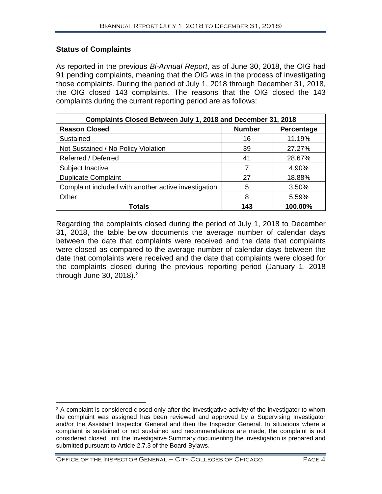#### **Status of Complaints**

As reported in the previous *Bi-Annual Report*, as of June 30, 2018, the OIG had 91 pending complaints, meaning that the OIG was in the process of investigating those complaints. During the period of July 1, 2018 through December 31, 2018, the OIG closed 143 complaints. The reasons that the OIG closed the 143 complaints during the current reporting period are as follows:

| Complaints Closed Between July 1, 2018 and December 31, 2018 |               |            |  |  |  |  |
|--------------------------------------------------------------|---------------|------------|--|--|--|--|
| <b>Reason Closed</b>                                         | <b>Number</b> | Percentage |  |  |  |  |
| Sustained                                                    | 16            | 11.19%     |  |  |  |  |
| Not Sustained / No Policy Violation                          | 39            | 27.27%     |  |  |  |  |
| Referred / Deferred                                          | 41            | 28.67%     |  |  |  |  |
| Subject Inactive                                             |               | 4.90%      |  |  |  |  |
| <b>Duplicate Complaint</b>                                   | 27            | 18.88%     |  |  |  |  |
| Complaint included with another active investigation         | 5             | 3.50%      |  |  |  |  |
| Other                                                        | 8             | 5.59%      |  |  |  |  |
| <b>Totals</b>                                                | 143           | 100.00%    |  |  |  |  |

Regarding the complaints closed during the period of July 1, 2018 to December 31, 2018, the table below documents the average number of calendar days between the date that complaints were received and the date that complaints were closed as compared to the average number of calendar days between the date that complaints were received and the date that complaints were closed for the complaints closed during the previous reporting period (January 1, 2018 through June 30, 2018). [2](#page-5-0)

<span id="page-5-0"></span> $\overline{a}$  $2$  A complaint is considered closed only after the investigative activity of the investigator to whom the complaint was assigned has been reviewed and approved by a Supervising Investigator and/or the Assistant Inspector General and then the Inspector General. In situations where a complaint is sustained or not sustained and recommendations are made, the complaint is not considered closed until the Investigative Summary documenting the investigation is prepared and submitted pursuant to Article 2.7.3 of the Board Bylaws.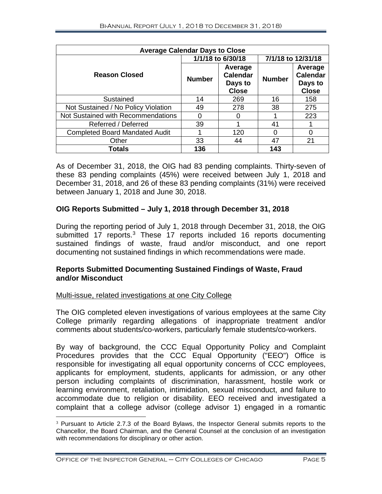| <b>Average Calendar Days to Close</b> |                   |                                                       |                    |                                                       |  |  |  |
|---------------------------------------|-------------------|-------------------------------------------------------|--------------------|-------------------------------------------------------|--|--|--|
|                                       | 1/1/18 to 6/30/18 |                                                       | 7/1/18 to 12/31/18 |                                                       |  |  |  |
| <b>Reason Closed</b>                  | <b>Number</b>     | Average<br><b>Calendar</b><br>Days to<br><b>Close</b> | <b>Number</b>      | Average<br><b>Calendar</b><br>Days to<br><b>Close</b> |  |  |  |
| Sustained                             | 14                | 269                                                   | 16                 | 158                                                   |  |  |  |
| Not Sustained / No Policy Violation   | 49                | 278                                                   | 38                 | 275                                                   |  |  |  |
| Not Sustained with Recommendations    |                   |                                                       |                    | 223                                                   |  |  |  |
| Referred / Deferred                   | 39                |                                                       | 41                 |                                                       |  |  |  |
| <b>Completed Board Mandated Audit</b> |                   | 120                                                   | 0                  | 0                                                     |  |  |  |
| Other                                 | 33                | 44                                                    | 47                 | 21                                                    |  |  |  |
| Totals                                | 136               |                                                       | 143                |                                                       |  |  |  |

As of December 31, 2018, the OIG had 83 pending complaints. Thirty-seven of these 83 pending complaints (45%) were received between July 1, 2018 and December 31, 2018, and 26 of these 83 pending complaints (31%) were received between January 1, 2018 and June 30, 2018.

#### **OIG Reports Submitted – July 1, 2018 through December 31, 2018**

During the reporting period of July 1, 2018 through December 31, 2018, the OIG submitted 17 reports.<sup>[3](#page-6-0)</sup> These 17 reports included 16 reports documenting sustained findings of waste, fraud and/or misconduct, and one report documenting not sustained findings in which recommendations were made.

#### **Reports Submitted Documenting Sustained Findings of Waste, Fraud and/or Misconduct**

#### Multi-issue, related investigations at one City College

The OIG completed eleven investigations of various employees at the same City College primarily regarding allegations of inappropriate treatment and/or comments about students/co-workers, particularly female students/co-workers.

By way of background, the CCC Equal Opportunity Policy and Complaint Procedures provides that the CCC Equal Opportunity ("EEO") Office is responsible for investigating all equal opportunity concerns of CCC employees, applicants for employment, students, applicants for admission, or any other person including complaints of discrimination, harassment, hostile work or learning environment, retaliation, intimidation, sexual misconduct, and failure to accommodate due to religion or disability. EEO received and investigated a complaint that a college advisor (college advisor 1) engaged in a romantic

<span id="page-6-0"></span><sup>&</sup>lt;sup>3</sup> Pursuant to Article 2.7.3 of the Board Bylaws, the Inspector General submits reports to the Chancellor, the Board Chairman, and the General Counsel at the conclusion of an investigation with recommendations for disciplinary or other action.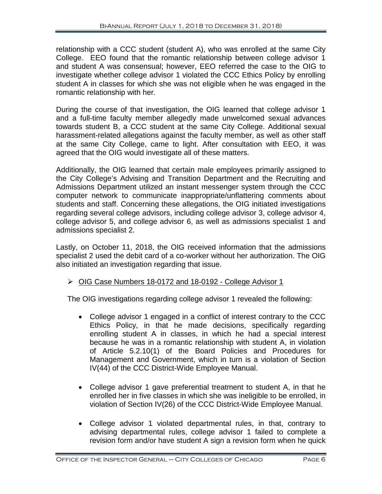relationship with a CCC student (student A), who was enrolled at the same City College. EEO found that the romantic relationship between college advisor 1 and student A was consensual; however, EEO referred the case to the OIG to investigate whether college advisor 1 violated the CCC Ethics Policy by enrolling student A in classes for which she was not eligible when he was engaged in the romantic relationship with her.

During the course of that investigation, the OIG learned that college advisor 1 and a full-time faculty member allegedly made unwelcomed sexual advances towards student B, a CCC student at the same City College. Additional sexual harassment-related allegations against the faculty member, as well as other staff at the same City College, came to light. After consultation with EEO, it was agreed that the OIG would investigate all of these matters.

Additionally, the OIG learned that certain male employees primarily assigned to the City College's Advising and Transition Department and the Recruiting and Admissions Department utilized an instant messenger system through the CCC computer network to communicate inappropriate/unflattering comments about students and staff. Concerning these allegations, the OIG initiated investigations regarding several college advisors, including college advisor 3, college advisor 4, college advisor 5, and college advisor 6, as well as admissions specialist 1 and admissions specialist 2.

Lastly, on October 11, 2018, the OIG received information that the admissions specialist 2 used the debit card of a co-worker without her authorization. The OIG also initiated an investigation regarding that issue.

#### OIG Case Numbers 18-0172 and 18-0192 - College Advisor 1

The OIG investigations regarding college advisor 1 revealed the following:

- College advisor 1 engaged in a conflict of interest contrary to the CCC Ethics Policy, in that he made decisions, specifically regarding enrolling student A in classes, in which he had a special interest because he was in a romantic relationship with student A, in violation of Article 5.2.10(1) of the Board Policies and Procedures for Management and Government, which in turn is a violation of Section IV(44) of the CCC District-Wide Employee Manual.
- College advisor 1 gave preferential treatment to student A, in that he enrolled her in five classes in which she was ineligible to be enrolled, in violation of Section IV(26) of the CCC District-Wide Employee Manual.
- College advisor 1 violated departmental rules, in that, contrary to advising departmental rules, college advisor 1 failed to complete a revision form and/or have student A sign a revision form when he quick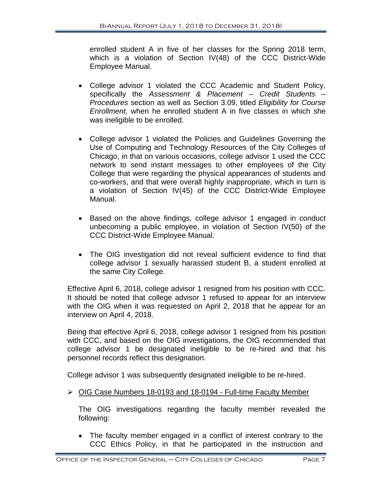enrolled student A in five of her classes for the Spring 2018 term, which is a violation of Section IV(48) of the CCC District-Wide Employee Manual.

- College advisor 1 violated the CCC Academic and Student Policy, specifically the *Assessment & Placement – Credit Students – Procedures* section as well as Section 3.09, titled *Eligibility for Course Enrollment,* when he enrolled student A in five classes in which she was ineligible to be enrolled.
- College advisor 1 violated the Policies and Guidelines Governing the Use of Computing and Technology Resources of the City Colleges of Chicago, in that on various occasions, college advisor 1 used the CCC network to send instant messages to other employees of the City College that were regarding the physical appearances of students and co-workers, and that were overall highly inappropriate, which in turn is a violation of Section IV(45) of the CCC District-Wide Employee Manual.
- Based on the above findings, college advisor 1 engaged in conduct unbecoming a public employee, in violation of Section IV(50) of the CCC District-Wide Employee Manual.
- The OIG investigation did not reveal sufficient evidence to find that college advisor 1 sexually harassed student B, a student enrolled at the same City College.

Effective April 6, 2018, college advisor 1 resigned from his position with CCC. It should be noted that college advisor 1 refused to appear for an interview with the OIG when it was requested on April 2, 2018 that he appear for an interview on April 4, 2018.

Being that effective April 6, 2018, college advisor 1 resigned from his position with CCC, and based on the OIG investigations, the OIG recommended that college advisor 1 be designated ineligible to be re-hired and that his personnel records reflect this designation.

College advisor 1 was subsequently designated ineligible to be re-hired.

#### $\triangleright$  OIG Case Numbers 18-0193 and 18-0194 - Full-time Faculty Member

The OIG investigations regarding the faculty member revealed the following:

• The faculty member engaged in a conflict of interest contrary to the CCC Ethics Policy, in that he participated in the instruction and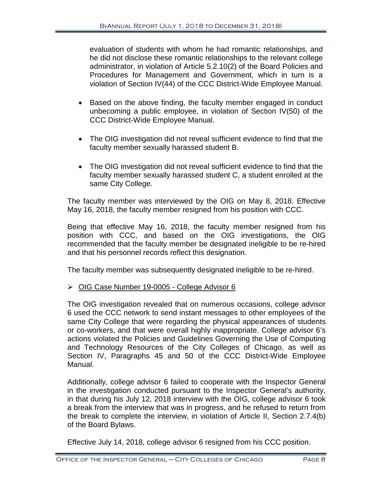evaluation of students with whom he had romantic relationships, and he did not disclose these romantic relationships to the relevant college administrator, in violation of Article 5.2.10(2) of the Board Policies and Procedures for Management and Government, which in turn is a violation of Section IV(44) of the CCC District-Wide Employee Manual.

- Based on the above finding, the faculty member engaged in conduct unbecoming a public employee, in violation of Section IV(50) of the CCC District-Wide Employee Manual.
- The OIG investigation did not reveal sufficient evidence to find that the faculty member sexually harassed student B.
- The OIG investigation did not reveal sufficient evidence to find that the faculty member sexually harassed student C, a student enrolled at the same City College.

The faculty member was interviewed by the OIG on May 8, 2018. Effective May 16, 2018, the faculty member resigned from his position with CCC.

Being that effective May 16, 2018, the faculty member resigned from his position with CCC, and based on the OIG investigations, the OIG recommended that the faculty member be designated ineligible to be re-hired and that his personnel records reflect this designation.

The faculty member was subsequently designated ineligible to be re-hired.

#### OIG Case Number 19-0005 - College Advisor 6

The OIG investigation revealed that on numerous occasions, college advisor 6 used the CCC network to send instant messages to other employees of the same City College that were regarding the physical appearances of students or co-workers, and that were overall highly inappropriate. College advisor 6's actions violated the Policies and Guidelines Governing the Use of Computing and Technology Resources of the City Colleges of Chicago, as well as Section IV, Paragraphs 45 and 50 of the CCC District-Wide Employee Manual.

Additionally, college advisor 6 failed to cooperate with the Inspector General in the investigation conducted pursuant to the Inspector General's authority, in that during his July 12, 2018 interview with the OIG, college advisor 6 took a break from the interview that was in progress, and he refused to return from the break to complete the interview, in violation of Article II, Section 2.7.4(b) of the Board Bylaws.

Effective July 14, 2018, college advisor 6 resigned from his CCC position.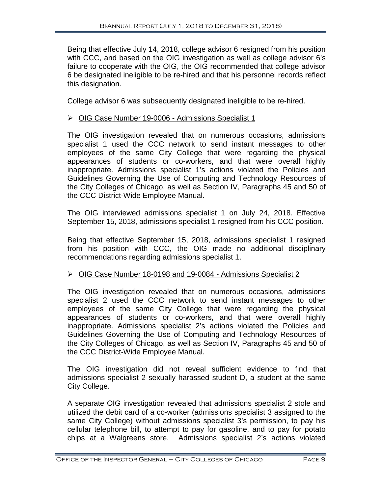Being that effective July 14, 2018, college advisor 6 resigned from his position with CCC, and based on the OIG investigation as well as college advisor 6's failure to cooperate with the OIG, the OIG recommended that college advisor 6 be designated ineligible to be re-hired and that his personnel records reflect this designation.

College advisor 6 was subsequently designated ineligible to be re-hired.

#### ▶ OIG Case Number 19-0006 - Admissions Specialist 1

The OIG investigation revealed that on numerous occasions, admissions specialist 1 used the CCC network to send instant messages to other employees of the same City College that were regarding the physical appearances of students or co-workers, and that were overall highly inappropriate. Admissions specialist 1's actions violated the Policies and Guidelines Governing the Use of Computing and Technology Resources of the City Colleges of Chicago, as well as Section IV, Paragraphs 45 and 50 of the CCC District-Wide Employee Manual.

The OIG interviewed admissions specialist 1 on July 24, 2018. Effective September 15, 2018, admissions specialist 1 resigned from his CCC position.

Being that effective September 15, 2018, admissions specialist 1 resigned from his position with CCC, the OIG made no additional disciplinary recommendations regarding admissions specialist 1.

#### ▶ OIG Case Number 18-0198 and 19-0084 - Admissions Specialist 2

The OIG investigation revealed that on numerous occasions, admissions specialist 2 used the CCC network to send instant messages to other employees of the same City College that were regarding the physical appearances of students or co-workers, and that were overall highly inappropriate. Admissions specialist 2's actions violated the Policies and Guidelines Governing the Use of Computing and Technology Resources of the City Colleges of Chicago, as well as Section IV, Paragraphs 45 and 50 of the CCC District-Wide Employee Manual.

The OIG investigation did not reveal sufficient evidence to find that admissions specialist 2 sexually harassed student D, a student at the same City College.

A separate OIG investigation revealed that admissions specialist 2 stole and utilized the debit card of a co-worker (admissions specialist 3 assigned to the same City College) without admissions specialist 3's permission, to pay his cellular telephone bill, to attempt to pay for gasoline, and to pay for potato chips at a Walgreens store. Admissions specialist 2's actions violated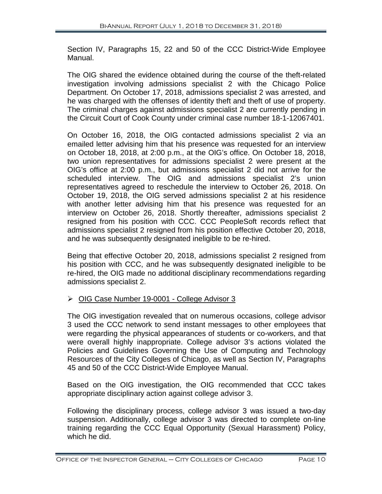Section IV, Paragraphs 15, 22 and 50 of the CCC District-Wide Employee Manual.

The OIG shared the evidence obtained during the course of the theft-related investigation involving admissions specialist 2 with the Chicago Police Department. On October 17, 2018, admissions specialist 2 was arrested, and he was charged with the offenses of identity theft and theft of use of property. The criminal charges against admissions specialist 2 are currently pending in the Circuit Court of Cook County under criminal case number 18-1-12067401.

On October 16, 2018, the OIG contacted admissions specialist 2 via an emailed letter advising him that his presence was requested for an interview on October 18, 2018, at 2:00 p.m., at the OIG's office. On October 18, 2018, two union representatives for admissions specialist 2 were present at the OIG's office at 2:00 p.m., but admissions specialist 2 did not arrive for the scheduled interview. The OIG and admissions specialist 2's union representatives agreed to reschedule the interview to October 26, 2018. On October 19, 2018, the OIG served admissions specialist 2 at his residence with another letter advising him that his presence was requested for an interview on October 26, 2018. Shortly thereafter, admissions specialist 2 resigned from his position with CCC. CCC PeopleSoft records reflect that admissions specialist 2 resigned from his position effective October 20, 2018, and he was subsequently designated ineligible to be re-hired.

Being that effective October 20, 2018, admissions specialist 2 resigned from his position with CCC, and he was subsequently designated ineligible to be re-hired, the OIG made no additional disciplinary recommendations regarding admissions specialist 2.

#### ▶ OIG Case Number 19-0001 - College Advisor 3

The OIG investigation revealed that on numerous occasions, college advisor 3 used the CCC network to send instant messages to other employees that were regarding the physical appearances of students or co-workers, and that were overall highly inappropriate. College advisor 3's actions violated the Policies and Guidelines Governing the Use of Computing and Technology Resources of the City Colleges of Chicago, as well as Section IV, Paragraphs 45 and 50 of the CCC District-Wide Employee Manual.

Based on the OIG investigation, the OIG recommended that CCC takes appropriate disciplinary action against college advisor 3.

Following the disciplinary process, college advisor 3 was issued a two-day suspension. Additionally, college advisor 3 was directed to complete on-line training regarding the CCC Equal Opportunity (Sexual Harassment) Policy, which he did.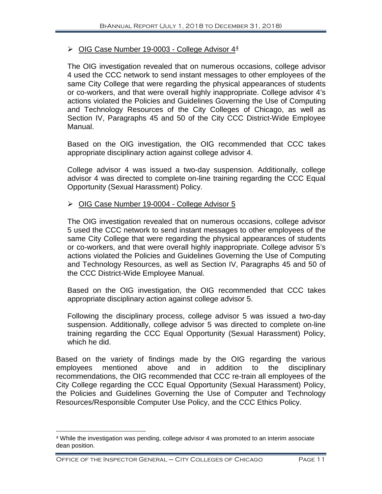#### $\triangleright$  OIG Case Number 19-0003 - College Advisor [4](#page-12-0)<sup>4</sup>

The OIG investigation revealed that on numerous occasions, college advisor 4 used the CCC network to send instant messages to other employees of the same City College that were regarding the physical appearances of students or co-workers, and that were overall highly inappropriate. College advisor 4's actions violated the Policies and Guidelines Governing the Use of Computing and Technology Resources of the City Colleges of Chicago, as well as Section IV, Paragraphs 45 and 50 of the City CCC District-Wide Employee Manual.

Based on the OIG investigation, the OIG recommended that CCC takes appropriate disciplinary action against college advisor 4.

College advisor 4 was issued a two-day suspension. Additionally, college advisor 4 was directed to complete on-line training regarding the CCC Equal Opportunity (Sexual Harassment) Policy.

#### OIG Case Number 19-0004 - College Advisor 5

The OIG investigation revealed that on numerous occasions, college advisor 5 used the CCC network to send instant messages to other employees of the same City College that were regarding the physical appearances of students or co-workers, and that were overall highly inappropriate. College advisor 5's actions violated the Policies and Guidelines Governing the Use of Computing and Technology Resources, as well as Section IV, Paragraphs 45 and 50 of the CCC District-Wide Employee Manual.

Based on the OIG investigation, the OIG recommended that CCC takes appropriate disciplinary action against college advisor 5.

Following the disciplinary process, college advisor 5 was issued a two-day suspension. Additionally, college advisor 5 was directed to complete on-line training regarding the CCC Equal Opportunity (Sexual Harassment) Policy, which he did.

Based on the variety of findings made by the OIG regarding the various employees mentioned above and in addition to the disciplinary recommendations, the OIG recommended that CCC re-train all employees of the City College regarding the CCC Equal Opportunity (Sexual Harassment) Policy, the Policies and Guidelines Governing the Use of Computer and Technology Resources/Responsible Computer Use Policy, and the CCC Ethics Policy.

 $\overline{a}$ 

<span id="page-12-0"></span><sup>4</sup> While the investigation was pending, college advisor 4 was promoted to an interim associate dean position.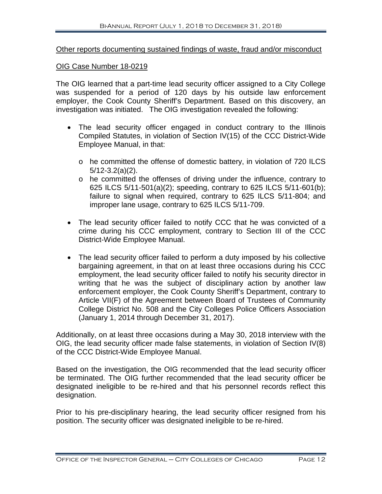#### Other reports documenting sustained findings of waste, fraud and/or misconduct

#### OIG Case Number 18-0219

The OIG learned that a part-time lead security officer assigned to a City College was suspended for a period of 120 days by his outside law enforcement employer, the Cook County Sheriff's Department. Based on this discovery, an investigation was initiated. The OIG investigation revealed the following:

- The lead security officer engaged in conduct contrary to the Illinois Compiled Statutes, in violation of Section IV(15) of the CCC District-Wide Employee Manual, in that:
	- o he committed the offense of domestic battery, in violation of 720 ILCS 5/12-3.2(a)(2).
	- o he committed the offenses of driving under the influence, contrary to 625 ILCS 5/11-501(a)(2); speeding, contrary to 625 ILCS 5/11-601(b); failure to signal when required, contrary to 625 ILCS 5/11-804; and improper lane usage, contrary to 625 ILCS 5/11-709.
- The lead security officer failed to notify CCC that he was convicted of a crime during his CCC employment, contrary to Section III of the CCC District-Wide Employee Manual.
- The lead security officer failed to perform a duty imposed by his collective bargaining agreement, in that on at least three occasions during his CCC employment, the lead security officer failed to notify his security director in writing that he was the subject of disciplinary action by another law enforcement employer, the Cook County Sheriff's Department, contrary to Article VII(F) of the Agreement between Board of Trustees of Community College District No. 508 and the City Colleges Police Officers Association (January 1, 2014 through December 31, 2017).

Additionally, on at least three occasions during a May 30, 2018 interview with the OIG, the lead security officer made false statements, in violation of Section IV(8) of the CCC District-Wide Employee Manual.

Based on the investigation, the OIG recommended that the lead security officer be terminated. The OIG further recommended that the lead security officer be designated ineligible to be re-hired and that his personnel records reflect this designation.

Prior to his pre-disciplinary hearing, the lead security officer resigned from his position. The security officer was designated ineligible to be re-hired.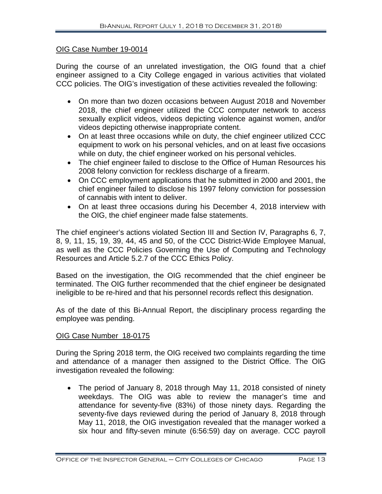#### OIG Case Number 19-0014

During the course of an unrelated investigation, the OIG found that a chief engineer assigned to a City College engaged in various activities that violated CCC policies. The OIG's investigation of these activities revealed the following:

- On more than two dozen occasions between August 2018 and November 2018, the chief engineer utilized the CCC computer network to access sexually explicit videos, videos depicting violence against women, and/or videos depicting otherwise inappropriate content.
- On at least three occasions while on duty, the chief engineer utilized CCC equipment to work on his personal vehicles, and on at least five occasions while on duty, the chief engineer worked on his personal vehicles.
- The chief engineer failed to disclose to the Office of Human Resources his 2008 felony conviction for reckless discharge of a firearm.
- On CCC employment applications that he submitted in 2000 and 2001, the chief engineer failed to disclose his 1997 felony conviction for possession of cannabis with intent to deliver.
- On at least three occasions during his December 4, 2018 interview with the OIG, the chief engineer made false statements.

The chief engineer's actions violated Section III and Section IV, Paragraphs 6, 7, 8, 9, 11, 15, 19, 39, 44, 45 and 50, of the CCC District-Wide Employee Manual, as well as the CCC Policies Governing the Use of Computing and Technology Resources and Article 5.2.7 of the CCC Ethics Policy.

Based on the investigation, the OIG recommended that the chief engineer be terminated. The OIG further recommended that the chief engineer be designated ineligible to be re-hired and that his personnel records reflect this designation.

As of the date of this Bi-Annual Report, the disciplinary process regarding the employee was pending.

#### OIG Case Number 18-0175

During the Spring 2018 term, the OIG received two complaints regarding the time and attendance of a manager then assigned to the District Office. The OIG investigation revealed the following:

• The period of January 8, 2018 through May 11, 2018 consisted of ninety weekdays. The OIG was able to review the manager's time and attendance for seventy-five (83%) of those ninety days. Regarding the seventy-five days reviewed during the period of January 8, 2018 through May 11, 2018, the OIG investigation revealed that the manager worked a six hour and fifty-seven minute (6:56:59) day on average. CCC payroll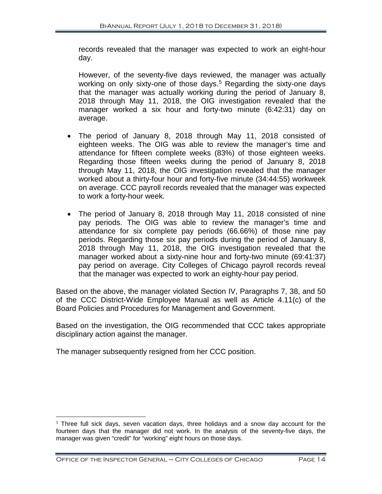records revealed that the manager was expected to work an eight-hour day.

However, of the seventy-five days reviewed, the manager was actually working on only sixty-one of those days.<sup>[5](#page-15-0)</sup> Regarding the sixty-one days that the manager was actually working during the period of January 8, 2018 through May 11, 2018, the OIG investigation revealed that the manager worked a six hour and forty-two minute (6:42:31) day on average.

- The period of January 8, 2018 through May 11, 2018 consisted of eighteen weeks. The OIG was able to review the manager's time and attendance for fifteen complete weeks (83%) of those eighteen weeks. Regarding those fifteen weeks during the period of January 8, 2018 through May 11, 2018, the OIG investigation revealed that the manager worked about a thirty-four hour and forty-five minute (34:44:55) workweek on average. CCC payroll records revealed that the manager was expected to work a forty-hour week.
- The period of January 8, 2018 through May 11, 2018 consisted of nine pay periods. The OIG was able to review the manager's time and attendance for six complete pay periods (66.66%) of those nine pay periods. Regarding those six pay periods during the period of January 8, 2018 through May 11, 2018, the OIG investigation revealed that the manager worked about a sixty-nine hour and forty-two minute (69:41:37) pay period on average. City Colleges of Chicago payroll records reveal that the manager was expected to work an eighty-hour pay period.

Based on the above, the manager violated Section IV, Paragraphs 7, 38, and 50 of the CCC District-Wide Employee Manual as well as Article 4.11(c) of the Board Policies and Procedures for Management and Government.

Based on the investigation, the OIG recommended that CCC takes appropriate disciplinary action against the manager.

The manager subsequently resigned from her CCC position.

<span id="page-15-0"></span> $5$  Three full sick days, seven vacation days, three holidays and a snow day account for the fourteen days that the manager did not work. In the analysis of the seventy-five days, the manager was given "credit" for "working" eight hours on those days.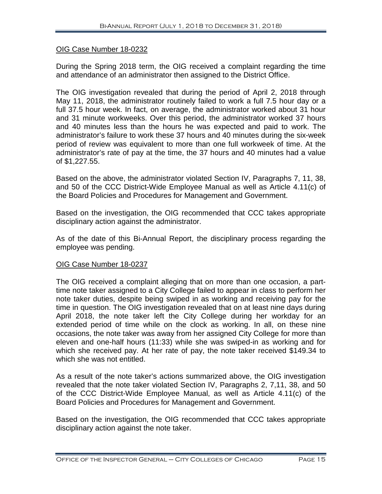#### OIG Case Number 18-0232

During the Spring 2018 term, the OIG received a complaint regarding the time and attendance of an administrator then assigned to the District Office.

The OIG investigation revealed that during the period of April 2, 2018 through May 11, 2018, the administrator routinely failed to work a full 7.5 hour day or a full 37.5 hour week. In fact, on average, the administrator worked about 31 hour and 31 minute workweeks. Over this period, the administrator worked 37 hours and 40 minutes less than the hours he was expected and paid to work. The administrator's failure to work these 37 hours and 40 minutes during the six-week period of review was equivalent to more than one full workweek of time. At the administrator's rate of pay at the time, the 37 hours and 40 minutes had a value of \$1,227.55.

Based on the above, the administrator violated Section IV, Paragraphs 7, 11, 38, and 50 of the CCC District-Wide Employee Manual as well as Article 4.11(c) of the Board Policies and Procedures for Management and Government.

Based on the investigation, the OIG recommended that CCC takes appropriate disciplinary action against the administrator.

As of the date of this Bi-Annual Report, the disciplinary process regarding the employee was pending.

#### OIG Case Number 18-0237

The OIG received a complaint alleging that on more than one occasion, a parttime note taker assigned to a City College failed to appear in class to perform her note taker duties, despite being swiped in as working and receiving pay for the time in question. The OIG investigation revealed that on at least nine days during April 2018, the note taker left the City College during her workday for an extended period of time while on the clock as working. In all, on these nine occasions, the note taker was away from her assigned City College for more than eleven and one-half hours (11:33) while she was swiped-in as working and for which she received pay. At her rate of pay, the note taker received \$149.34 to which she was not entitled.

As a result of the note taker's actions summarized above, the OIG investigation revealed that the note taker violated Section IV, Paragraphs 2, 7,11, 38, and 50 of the CCC District-Wide Employee Manual, as well as Article 4.11(c) of the Board Policies and Procedures for Management and Government.

Based on the investigation, the OIG recommended that CCC takes appropriate disciplinary action against the note taker.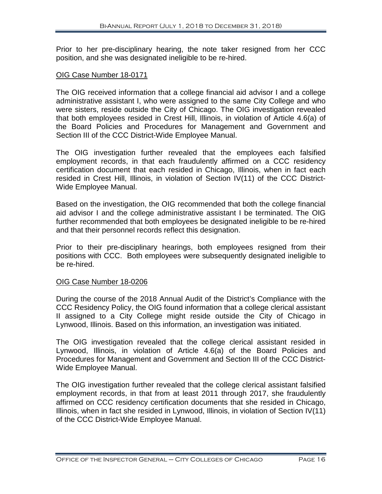Prior to her pre-disciplinary hearing, the note taker resigned from her CCC position, and she was designated ineligible to be re-hired.

#### OIG Case Number 18-0171

The OIG received information that a college financial aid advisor I and a college administrative assistant I, who were assigned to the same City College and who were sisters, reside outside the City of Chicago. The OIG investigation revealed that both employees resided in Crest Hill, Illinois, in violation of Article 4.6(a) of the Board Policies and Procedures for Management and Government and Section III of the CCC District-Wide Employee Manual.

The OIG investigation further revealed that the employees each falsified employment records, in that each fraudulently affirmed on a CCC residency certification document that each resided in Chicago, Illinois, when in fact each resided in Crest Hill, Illinois, in violation of Section IV(11) of the CCC District-Wide Employee Manual.

Based on the investigation, the OIG recommended that both the college financial aid advisor I and the college administrative assistant I be terminated. The OIG further recommended that both employees be designated ineligible to be re-hired and that their personnel records reflect this designation.

Prior to their pre-disciplinary hearings, both employees resigned from their positions with CCC. Both employees were subsequently designated ineligible to be re-hired.

#### OIG Case Number 18-0206

During the course of the 2018 Annual Audit of the District's Compliance with the CCC Residency Policy, the OIG found information that a college clerical assistant II assigned to a City College might reside outside the City of Chicago in Lynwood, Illinois. Based on this information, an investigation was initiated.

The OIG investigation revealed that the college clerical assistant resided in Lynwood, Illinois, in violation of Article 4.6(a) of the Board Policies and Procedures for Management and Government and Section III of the CCC District-Wide Employee Manual.

The OIG investigation further revealed that the college clerical assistant falsified employment records, in that from at least 2011 through 2017, she fraudulently affirmed on CCC residency certification documents that she resided in Chicago, Illinois, when in fact she resided in Lynwood, Illinois, in violation of Section IV(11) of the CCC District-Wide Employee Manual.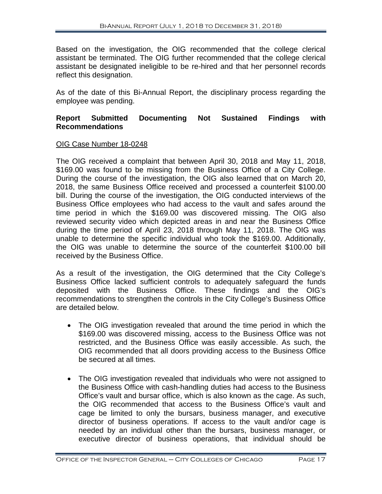Based on the investigation, the OIG recommended that the college clerical assistant be terminated. The OIG further recommended that the college clerical assistant be designated ineligible to be re-hired and that her personnel records reflect this designation.

As of the date of this Bi-Annual Report, the disciplinary process regarding the employee was pending.

#### **Report Submitted Documenting Not Sustained Findings with Recommendations**

#### OIG Case Number 18-0248

The OIG received a complaint that between April 30, 2018 and May 11, 2018, \$169.00 was found to be missing from the Business Office of a City College. During the course of the investigation, the OIG also learned that on March 20, 2018, the same Business Office received and processed a counterfeit \$100.00 bill. During the course of the investigation, the OIG conducted interviews of the Business Office employees who had access to the vault and safes around the time period in which the \$169.00 was discovered missing. The OIG also reviewed security video which depicted areas in and near the Business Office during the time period of April 23, 2018 through May 11, 2018. The OIG was unable to determine the specific individual who took the \$169.00. Additionally, the OIG was unable to determine the source of the counterfeit \$100.00 bill received by the Business Office.

As a result of the investigation, the OIG determined that the City College's Business Office lacked sufficient controls to adequately safeguard the funds deposited with the Business Office. These findings and the OIG's recommendations to strengthen the controls in the City College's Business Office are detailed below.

- The OIG investigation revealed that around the time period in which the \$169.00 was discovered missing, access to the Business Office was not restricted, and the Business Office was easily accessible. As such, the OIG recommended that all doors providing access to the Business Office be secured at all times.
- The OIG investigation revealed that individuals who were not assigned to the Business Office with cash-handling duties had access to the Business Office's vault and bursar office, which is also known as the cage. As such, the OIG recommended that access to the Business Office's vault and cage be limited to only the bursars, business manager, and executive director of business operations. If access to the vault and/or cage is needed by an individual other than the bursars, business manager, or executive director of business operations, that individual should be